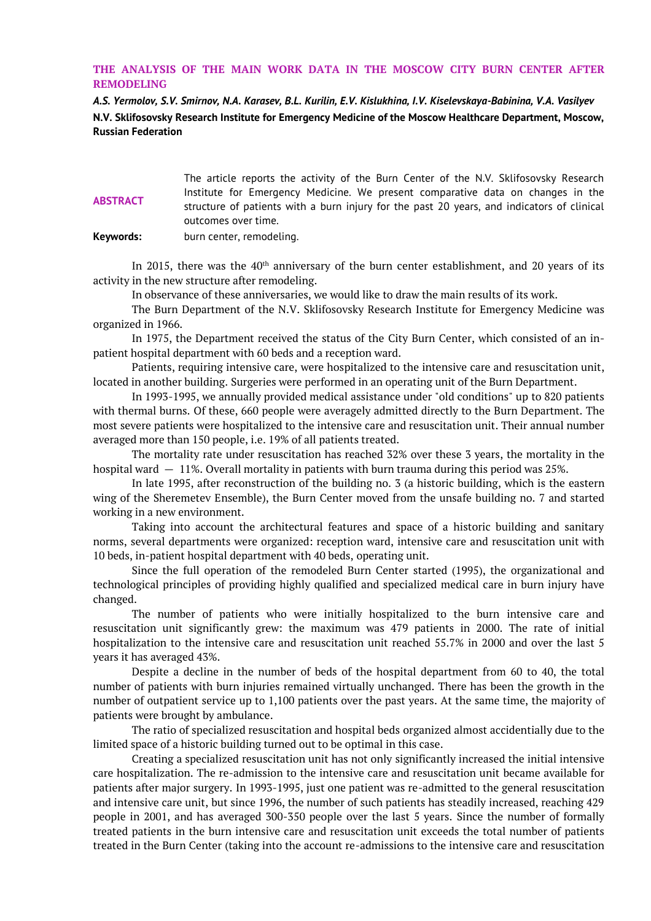## **THE ANALYSIS OF THE MAIN WORK DATA IN THE MOSCOW CITY BURN CENTER AFTER REMODELING**

*A.S. Yermolov, S.V. Smirnov, N.A. Karasev, B.L. Kurilin, E.V. Kislukhina, I.V. Kiselevskaya-Babinina, V.A. Vasilyev* **N.V. Sklifosovsky Research Institute for Emergency Medicine of the Moscow Healthcare Department, Moscow, Russian Federation**

| <b>ABSTRACT</b> | The article reports the activity of the Burn Center of the N.V. Sklifosovsky Research      |
|-----------------|--------------------------------------------------------------------------------------------|
|                 | Institute for Emergency Medicine. We present comparative data on changes in the            |
|                 | structure of patients with a burn injury for the past 20 years, and indicators of clinical |
|                 | outcomes over time.                                                                        |
| Keywords:       | burn center, remodeling.                                                                   |

In 2015, there was the  $40<sup>th</sup>$  anniversary of the burn center establishment, and 20 years of its activity in the new structure after remodeling.

In observance of these anniversaries, we would like to draw the main results of its work.

The Burn Department of the N.V. Sklifosovsky Research Institute for Emergency Medicine was organized in 1966.

In 1975, the Department received the status of the City Burn Center, which consisted of an inpatient hospital department with 60 beds and a reception ward.

Patients, requiring intensive care, were hospitalized to the intensive care and resuscitation unit, located in another building. Surgeries were performed in an operating unit of the Burn Department.

In 1993-1995, we annually provided medical assistance under "old conditions" up to 820 patients with thermal burns. Of these, 660 people were averagely admitted directly to the Burn Department. The most severe patients were hospitalized to the intensive care and resuscitation unit. Their annual number averaged more than 150 people, i.e. 19% of all patients treated.

The mortality rate under resuscitation has reached 32% over these 3 years, the mortality in the hospital ward  $-11\%$ . Overall mortality in patients with burn trauma during this period was 25%.

In late 1995, after reconstruction of the building no. 3 (a historic building, which is the eastern wing of the Sheremetev Ensemble), the Burn Center moved from the unsafe building no. 7 and started working in a new environment.

Taking into account the architectural features and space of a historic building and sanitary norms, several departments were organized: reception ward, intensive care and resuscitation unit with 10 beds, in-patient hospital department with 40 beds, operating unit.

Since the full operation of the remodeled Burn Center started (1995), the organizational and technological principles of providing highly qualified and specialized medical care in burn injury have changed.

The number of patients who were initially hospitalized to the burn intensive care and resuscitation unit significantly grew: the maximum was 479 patients in 2000. The rate of initial hospitalization to the intensive care and resuscitation unit reached 55.7% in 2000 and over the last 5 years it has averaged 43%.

Despite a decline in the number of beds of the hospital department from 60 to 40, the total number of patients with burn injuries remained virtually unchanged. There has been the growth in the number of outpatient service up to 1,100 patients over the past years. At the same time, the majority of patients were brought by ambulance.

The ratio of specialized resuscitation and hospital beds organized almost accidentially due to the limited space of a historic building turned out to be optimal in this case.

Creating a specialized resuscitation unit has not only significantly increased the initial intensive care hospitalization. The re-admission to the intensive care and resuscitation unit became available for patients after major surgery. In 1993-1995, just one patient was re-admitted to the general resuscitation and intensive care unit, but since 1996, the number of such patients has steadily increased, reaching 429 people in 2001, and has averaged 300-350 people over the last 5 years. Since the number of formally treated patients in the burn intensive care and resuscitation unit exceeds the total number of patients treated in the Burn Center (taking into the account re-admissions to the intensive care and resuscitation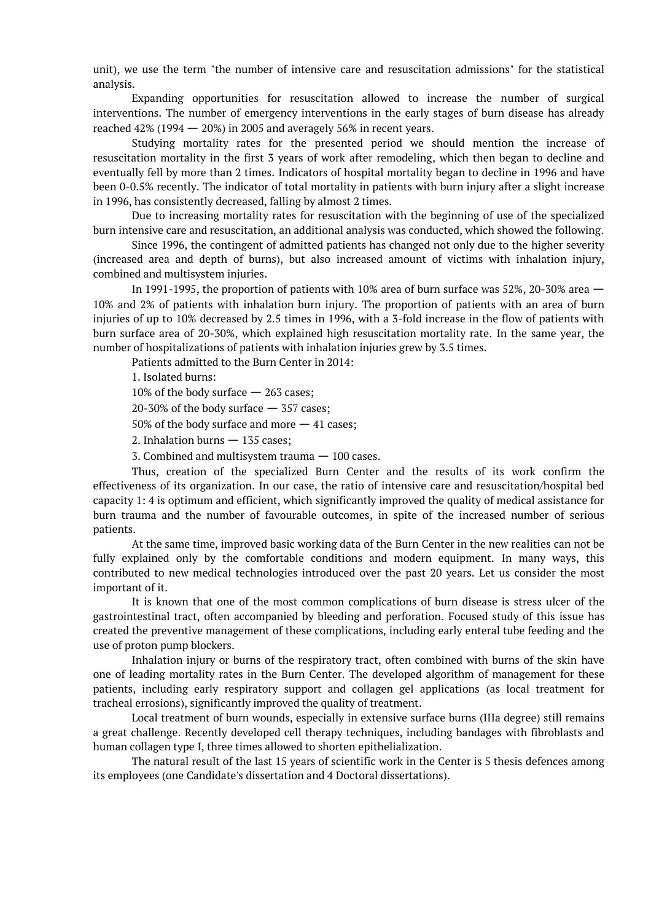unit), we use the term "the number of intensive care and resuscitation admissions" for the statistical analysis.

Expanding opportunities for resuscitation allowed to increase the number of surgical interventions. The number of emergency interventions in the early stages of burn disease has already reached  $42\%$  (1994  $-20\%$ ) in 2005 and averagely 56% in recent years.

Studying mortality rates for the presented period we should mention the increase of resuscitation mortality in the first 3 years of work after remodeling, which then began to decline and eventually fell by more than 2 times. Indicators of hospital mortality began to decline in 1996 and have been 0-0.5% recently. The indicator of total mortality in patients with burn injury after a slight increase in 1996, has consistently decreased, falling by almost 2 times.

Due to increasing mortality rates for resuscitation with the beginning of use of the specialized burn intensive care and resuscitation, an additional analysis was conducted, which showed the following.

Since 1996, the contingent of admitted patients has changed not only due to the higher severity (increased area and depth of burns), but also increased amount of victims with inhalation injury, combined and multisystem injuries.

In 1991-1995, the proportion of patients with 10% area of burn surface was 52%, 20-30% area — 10% and 2% of patients with inhalation burn injury. The proportion of patients with an area of burn injuries of up to 10% decreased by 2.5 times in 1996, with a 3-fold increase in the flow of patients with burn surface area of 20-30%, which explained high resuscitation mortality rate. In the same year, the number of hospitalizations of patients with inhalation injuries grew by 3.5 times.

Patients admitted to the Burn Center in 2014:

1. Isolated burns:

10% of the body surface — 263 cases;

20-30% of the body surface  $-$  357 cases;

50% of the body surface and more — 41 cases;

2. Inhalation burns — 135 cases;

3. Combined and multisystem trauma — 100 cases.

Thus, creation of the specialized Burn Center and the results of its work confirm the effectiveness of its organization. In our case, the ratio of intensive care and resuscitation/hospital bed capacity 1: 4 is optimum and efficient, which significantly improved the quality of medical assistance for burn trauma and the number of favourable outcomes, in spite of the increased number of serious patients.

At the same time, improved basic working data of the Burn Center in the new realities can not be fully explained only by the comfortable conditions and modern equipment. In many ways, this contributed to new medical technologies introduced over the past 20 years. Let us consider the most important of it.

It is known that one of the most common complications of burn disease is stress ulcer of the gastrointestinal tract, often accompanied by bleeding and perforation. Focused study of this issue has created the preventive management of these complications, including early enteral tube feeding and the use of proton pump blockers.

Inhalation injury or burns of the respiratory tract, often combined with burns of the skin have one of leading mortality rates in the Burn Center. The developed algorithm of management for these patients, including early respiratory support and collagen gel applications (as local treatment for tracheal errosions), significantly improved the quality of treatment.

Local treatment of burn wounds, especially in extensive surface burns (IIIa degree) still remains a great challenge. Recently developed cell therapy techniques, including bandages with fibroblasts and human collagen type I, three times allowed to shorten epithelialization.

The natural result of the last 15 years of scientific work in the Center is 5 thesis defences among its employees (one Candidate's dissertation and 4 Doctoral dissertations).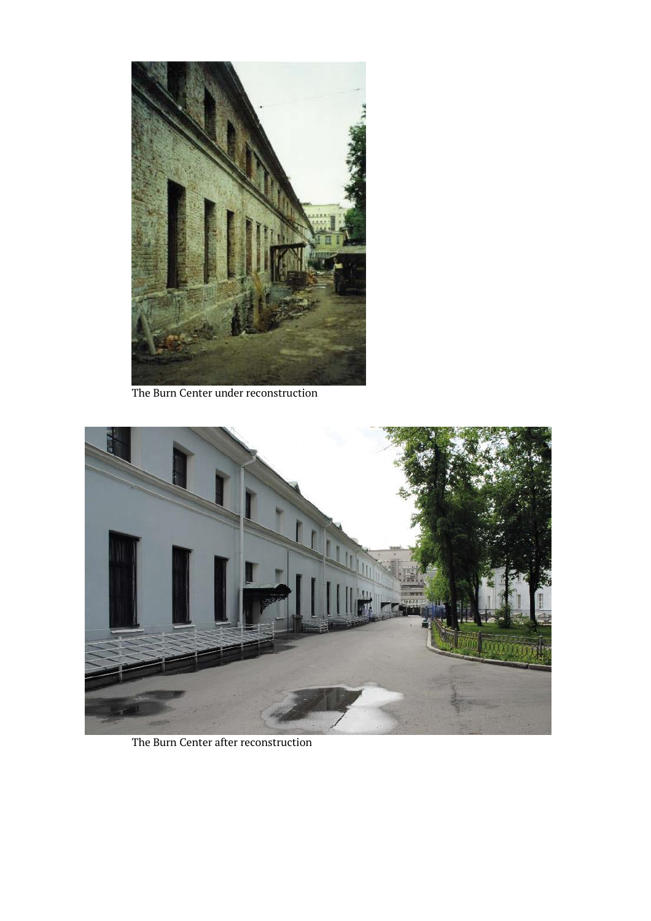

The Burn Center under reconstruction



The Burn Center after reconstruction